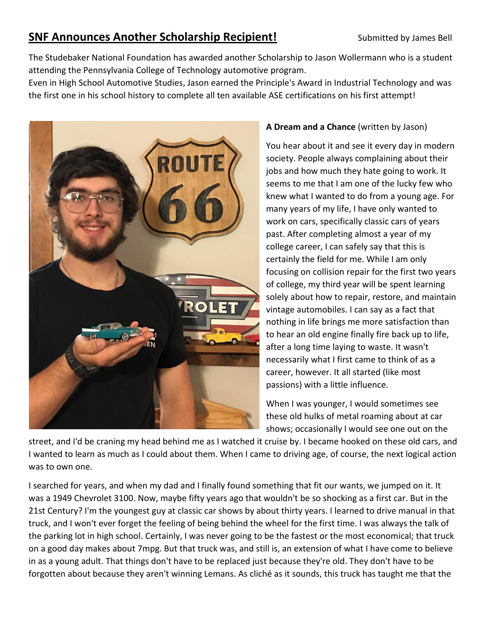## **SNF Announces Another Scholarship Recipient!** Submitted by James Bell

The Studebaker National Foundation has awarded another Scholarship to Jason Wollermann who is a student attending the Pennsylvania College of Technology automotive program.

Even in High School Automotive Studies, Jason earned the Principle's Award in Industrial Technology and was the first one in his school history to complete all ten available ASE certifications on his first attempt!



## **A Dream and a Chance** (written by Jason)

You hear about it and see it every day in modern society. People always complaining about their jobs and how much they hate going to work. It seems to me that I am one of the lucky few who knew what I wanted to do from a young age. For many years of my life, I have only wanted to work on cars, specifically classic cars of years past. After completing almost a year of my college career, I can safely say that this is certainly the field for me. While I am only focusing on collision repair for the first two years of college, my third year will be spent learning solely about how to repair, restore, and maintain vintage automobiles. I can say as a fact that nothing in life brings me more satisfaction than to hear an old engine finally fire back up to life, after a long time laying to waste. It wasn't necessarily what I first came to think of as a career, however. It all started (like most passions) with a little influence.

When I was younger, I would sometimes see these old hulks of metal roaming about at car shows; occasionally I would see one out on the

street, and I'd be craning my head behind me as I watched it cruise by. I became hooked on these old cars, and I wanted to learn as much as I could about them. When I came to driving age, of course, the next logical action was to own one.

I searched for years, and when my dad and I finally found something that fit our wants, we jumped on it. It was a 1949 Chevrolet 3100. Now, maybe fifty years ago that wouldn't be so shocking as a first car. But in the 21st Century? I'm the youngest guy at classic car shows by about thirty years. I learned to drive manual in that truck, and I won't ever forget the feeling of being behind the wheel for the first time. I was always the talk of the parking lot in high school. Certainly, I was never going to be the fastest or the most economical; that truck on a good day makes about 7mpg. But that truck was, and still is, an extension of what I have come to believe in as a young adult. That things don't have to be replaced just because they're old. They don't have to be forgotten about because they aren't winning Lemans. As cliché as it sounds, this truck has taught me that the